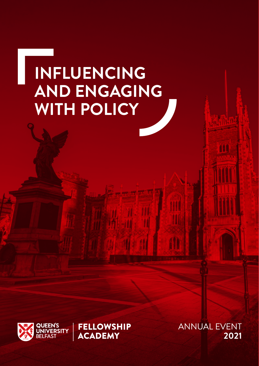# **INFLUENCING AND ENGAGING WITH POLICY**

**FELLOWSHIP** 

**ACADEMY** 



**ANNUAL EVENT** 2021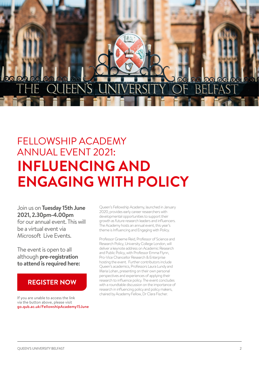# J΄S

## FELLOWSHIP ACADEMY ANNUAL EVENT 2021: **INFLUENCING AND ENGAGING WITH POLICY**

Join us on **Tuesday 15th June 2021, 2.30pm-4.00pm** for our annual event. This will be a virtual event via Microsoft Live Events.

The event is open to all although **pre-registration to attend is required here:**

### **REGISTER NOW**

If you are unable to access the link via the button above, please visit [go.qub.ac.uk/FellowshipAcademy15June](https://www.eventbrite.co.uk/e/fellowship-academy-annual-event-2021-influencing-and-engaging-with-policy-tickets-156112854751) Queen's Fellowship Academy, launched in January 2020, provides early career researchers with developmental opportunities to support their growth as future research leaders and influencers. The Academy hosts an annual event, this year's theme is Influencing and Engaging with Policy.

Professor Graeme Reid, Professor of Science and Research Policy, University College London, will deliver a keynote address on Academic Research and Public Policy, with Professor Emma Flynn, Pro-Vice Chancellor Research & Enterprise hosting the event. Further contributors include Queen's academics, Professors Laura Lundy and Maria Lohan, presenting on their own personal perspectives and experiences of applying their research to influence policy. The event concludes with a roundtable discussion on the importance of research in influencing policy and policy makers, chaired by Academy Fellow, Dr Clara Fischer.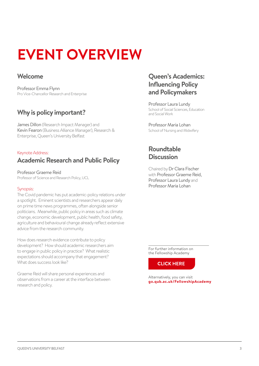## **EVENT OVERVIEW**

### **Welcome**

Professor Emma Flynn Pro Vice-Chancellor Research and Enterprise

## **Why is policy important?**

James Dillon (Research Impact Manager) and Kevin Fearon (Business Alliance Manager), Research & Enterprise, Queen's University Belfast

#### Keynote Address:

## **Academic Research and Public Policy**

Professor Graeme Reid Professor of Science and Research Policy, UCL

#### Synopsis:

The Covid pandemic has put academic-policy relations under a spotlight. Eminent scientists and researchers appear daily on prime time news programmes, often alongside senior politicians. Meanwhile, public policy in areas such as climate change, economic development, public health, food safety, agriculture and behavioural change already reflect extensive advice from the research community.

How does research evidence contribute to policy development? How should academic researchers aim to engage in public policy in practice? What realistic expectations should accompany that engagement? What does success look like?

Graeme Reid will share personal experiences and observations from a career at the interface between research and policy.

### **Queen's Academics: Influencing Policy and Policymakers**

Professor Laura Lundy School of Social Sciences, Education and Social Work

Professor Maria Lohan School of Nursing and Midwifery

### **Roundtable Discussion**

Chaired by Dr Clara Fischer with Professor Graeme Reid, Professor Laura Lundy and Professor Maria Lohan

For further information on the Fellowship Academy

**CLICK HERE** 

Alternatively, you can visit **[go.qub.ac.uk/FellowshipAcademy](https://www.qub.ac.uk/directorates/HumanResources/fellowships-at-queens/fellowship-academy/)**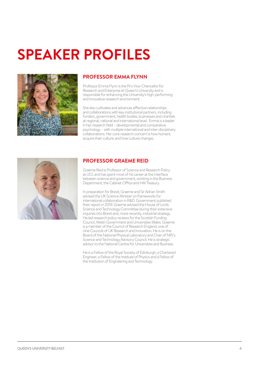## **SPEAKER PROFILES**



#### **PROFESSOR EMMA FLYNN**

Professor Emma Flynn is the Pro Vice-Chancellor for Research and Enterprise at Queen's University and is responsible for enhancing the University's high-performing and innovative research environment.

She also cultivates and advances effective relationships and collaborations with key institutional partners, including funders, government, health bodies, businesses and charities at regional, national and international level. Emma is a leader in her research field – developmental and comparative psychology – with multiple international and inter-disciplinary collaborations. Her core research concern is how humans acquire their culture, and how culture changes.



#### **PROFESSOR GRAEME REID**

Graeme Reid is Professor of Science and Research Policy at UCL and has spent most of his career at the interface between science and government, working in the Business Department, the Cabinet Office and HM Treasury.

In preparation for Brexit, Graeme and Sir Adrian Smith advised the UK Science Minister on frameworks for international collaboration in R&D. Government published their report in 2019. Graeme advised the House of Lords Science and Technology Committee during their extensive inquiries into Brexit and, more recently, industrial strategy. He led research policy reviews for the Scottish Funding Council, Welsh Government and Universities Wales. Graeme is a member of the Council of Research England, one of nine Councils of UK Research and Innovation. He is on the Board of the National Physical Laboratory and Chair of NPL's Science and Technology Advisory Council. He is strategic advisor to the National Centre for Universities and Business.

He is a Fellow of the Royal Society of Edinburgh, a Chartered Engineer, a Fellow of the Institute of Physics and a Fellow of the Institution of Engineering and Technology.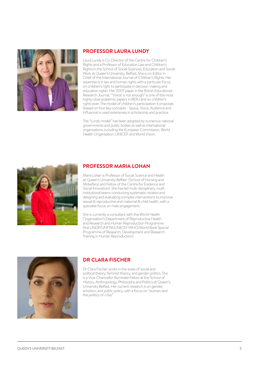

#### **PROFESSOR LAURA LUNDY**

Laura Lundy is Co-Director of the Centre for Children's Rights and a Professor of Education Law and Children's Rights in the School of Social Sciences, Education and Social Work at Queen's University, Belfast. She is co-Editor in Chief of the International Journal of Children's Rights. Her expertise is in law and human rights with a particular focus on children's right to participate in decision-making and education rights. Her 2007 paper in the British Educational Research Journal, "'Voice' is not enough" is one of the most highly cited academic papers in BERJ and on children's rights ever. The model of children's participation it proposes (based on four key concepts - Space, Voice, Audience and Influence) is used extensively in scholarship and practice.

The "Lundy model" has been adopted by numerous national governments and public bodies as well as international organisations including the European Commission, World Health Organisation, UNICEF and World Vision.



#### **PROFESSOR MARIA LOHAN**

Maria Lohan is Professor of Social Science and Health at Queen's University Belfast (School of Nursing and Midwifery) and Fellow of the Centre for Evidence and Social Innovation). She has led multi-disciplinary, multiinstitutional teams conducting systematic reviews and designing and evaluating complex interventions to improve sexual & reproductive and maternal & child health, with a specialist focus on male engagement.

She is currently a consultant with the World Health Organisation's Department of Reproductive Health and Research and Human Reproduction Programme (the UNDP/UNFPA/UNICEF/WHO/World Bank Special Programme of Research, Development and Research Training in Human Reproduction).



#### **DR CLARA FISCHER**

Dr Clara Fischer works in the areas of social and political theory, feminist theory, and gender politics. She is a Vice-Chancellor Illuminate Fellow at the School of History, Anthropology, Philosophy and Politics at Queen's University Belfast. Her current research is on gender, emotion, and public policy, with a focus on "women and the politics of crisis.'